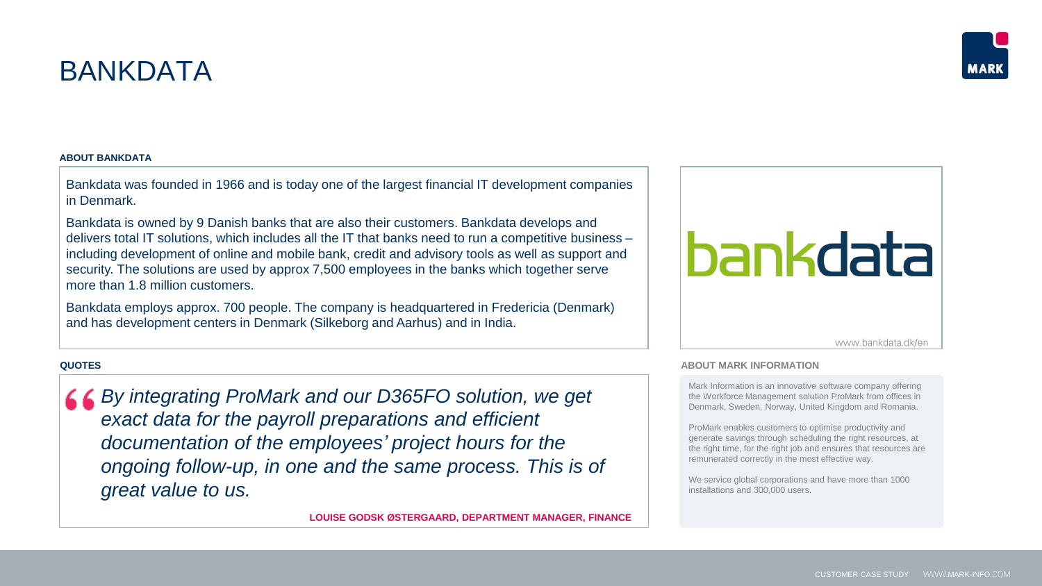# BANKDATA

## **ABOUT BANKDATA**

Bankdata was founded in 1966 and is today one of the largest financial IT development companies in Denmark.

Bankdata is owned by 9 Danish banks that are also their customers. Bankdata develops and delivers total IT solutions, which includes all the IT that banks need to run a competitive business – including development of online and mobile bank, credit and advisory tools as well as support and security. The solutions are used by approx 7,500 employees in the banks which together serve more than 1.8 million customers.

Bankdata employs approx. 700 people. The company is headquartered in Fredericia (Denmark) and has development centers in Denmark (Silkeborg and Aarhus) and in India.

## **QUOTES**

*By integrating ProMark and our D365FO solution, we get exact data for the payroll preparations and efficient documentation of the employees' project hours for the ongoing follow-up, in one and the same process. This is of great value to us.*

**LOUISE GODSK ØSTERGAARD, DEPARTMENT MANAGER, FINANCE**

# bankdata

www.bankdata.dk/en

### **ABOUT MARK INFORMATION**

Mark Information is an innovative software company offering the Workforce Management solution ProMark from offices in Denmark, Sweden, Norway, United Kingdom and Romania.

ProMark enables customers to optimise productivity and generate savings through scheduling the right resources, at the right time, for the right job and ensures that resources are remunerated correctly in the most effective way.

We service global corporations and have more than 1000 installations and 300,000 users.